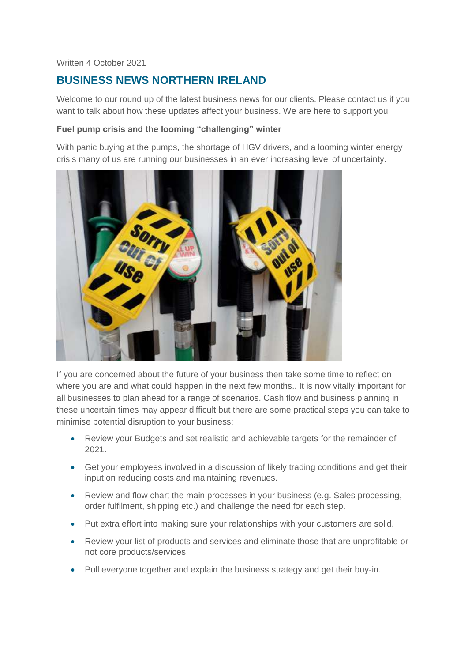#### Written 4 October 2021

# **BUSINESS NEWS NORTHERN IRELAND**

Welcome to our round up of the latest business news for our clients. Please contact us if you want to talk about how these updates affect your business. We are here to support you!

#### **Fuel pump crisis and the looming "challenging" winter**

With panic buying at the pumps, the shortage of HGV drivers, and a looming winter energy crisis many of us are running our businesses in an ever increasing level of uncertainty.



If you are concerned about the future of your business then take some time to reflect on where you are and what could happen in the next few months.. It is now vitally important for all businesses to plan ahead for a range of scenarios. Cash flow and business planning in these uncertain times may appear difficult but there are some practical steps you can take to minimise potential disruption to your business:

- Review your Budgets and set realistic and achievable targets for the remainder of 2021.
- Get your employees involved in a discussion of likely trading conditions and get their input on reducing costs and maintaining revenues.
- Review and flow chart the main processes in your business (e.g. Sales processing, order fulfilment, shipping etc.) and challenge the need for each step.
- Put extra effort into making sure your relationships with your customers are solid.
- Review your list of products and services and eliminate those that are unprofitable or not core products/services.
- Pull everyone together and explain the business strategy and get their buy-in.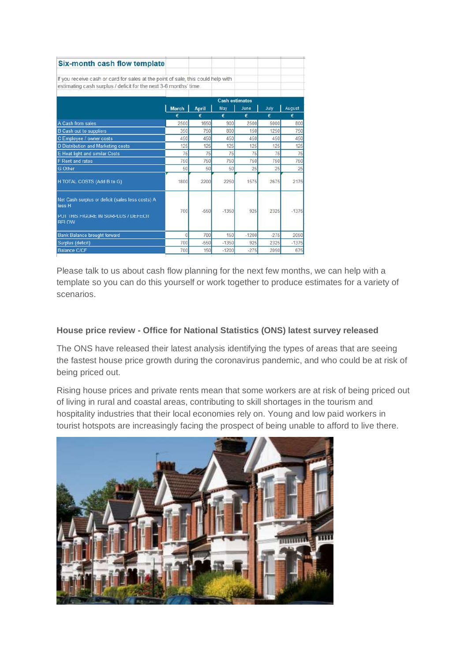| Six-month cash flow template                                                                                                   |                       |              |          |           |           |          |
|--------------------------------------------------------------------------------------------------------------------------------|-----------------------|--------------|----------|-----------|-----------|----------|
| If you receive cash or card for sales at the point of sale, this could help with                                               |                       |              |          |           |           |          |
| estimating cash surplus / deficit for the next 3-6 months' time.                                                               |                       |              |          |           |           |          |
|                                                                                                                                |                       |              |          |           |           |          |
|                                                                                                                                | <b>Cash estimates</b> |              |          |           |           |          |
|                                                                                                                                | <b>March</b><br>€     | <b>April</b> | May<br>€ | June      | July      | August   |
| A Cash from sales                                                                                                              | 2500                  | €<br>1650    | 900      | €<br>2500 | €<br>5000 | €<br>800 |
|                                                                                                                                | 350                   | 750          | 800      | 150       | 1250      | 750      |
| <b>B</b> Cash out to suppliers<br>C Employee / owner costs                                                                     | 450                   | 450          | 450      | 450       | 450       | 450      |
| D Distribution and Marketing costs                                                                                             | 125                   | 125          | 125      | 125       | 125       | 125      |
| E Heat light and similar Costs                                                                                                 | 75                    | 75           | 75       | 75        | 75        | 75       |
| F Rent and rates                                                                                                               | 750                   | 750          | 750      | 750       | 750       | 750      |
| <b>G</b> Other                                                                                                                 | 50                    | 50           | 50       | 25        | 25        | 25       |
| H TOTAL COSTS (Add B to G)                                                                                                     | 1800                  | 2200         | 2250     | 1575      | 2675      | 2175     |
| Net Cash surplus or deficit (sales less costs) A<br>less <sub>H</sub><br>PUT THIS FIGURE IN SURPLUS / DEFECIT<br><b>BFI OW</b> | 700                   | $-550$       | $-1350$  | 925       | 2325      | $-1375$  |
| <b>Bank Balance brought forward</b>                                                                                            | $\Omega$              | 700          | 150      | $-1200$   | $-275$    | 2050     |
| Surplus (deficit)                                                                                                              | 700                   | $-550$       | $-1350$  | 925       | 2325      | $-1375$  |
| <b>Balance C/CF</b>                                                                                                            | 700                   | 150          | $-1200$  | $-275$    | 2050      | 675      |

Please talk to us about cash flow planning for the next few months, we can help with a template so you can do this yourself or work together to produce estimates for a variety of scenarios.

## **House price review - Office for National Statistics (ONS) latest survey released**

The ONS have released their latest analysis identifying the types of areas that are seeing the fastest house price growth during the coronavirus pandemic, and who could be at risk of being priced out.

Rising house prices and private rents mean that some workers are at risk of being priced out of living in rural and coastal areas, contributing to skill shortages in the tourism and hospitality industries that their local economies rely on. Young and low paid workers in tourist hotspots are increasingly facing the prospect of being unable to afford to live there.

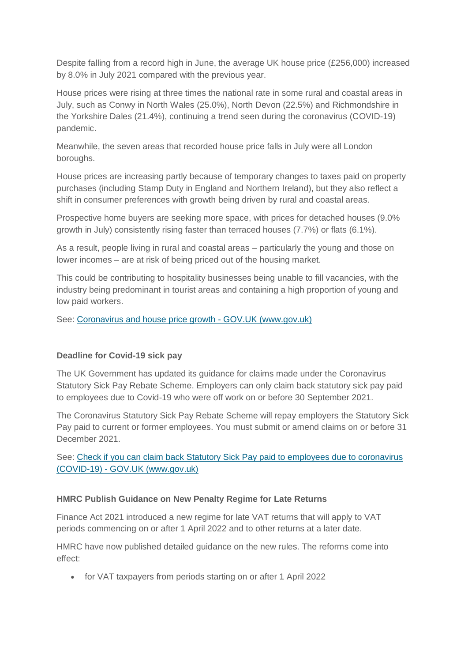Despite falling from a record high in June, the average UK house price (£256,000) increased by 8.0% in July 2021 compared with the previous year.

House prices were rising at three times the national rate in some rural and coastal areas in July, such as Conwy in North Wales (25.0%), North Devon (22.5%) and Richmondshire in the Yorkshire Dales (21.4%), continuing a trend seen during the coronavirus (COVID-19) pandemic.

Meanwhile, the seven areas that recorded house price falls in July were all London boroughs.

House prices are increasing partly because of temporary changes to taxes paid on property purchases (including Stamp Duty in England and Northern Ireland), but they also reflect a shift in consumer preferences with growth being driven by rural and coastal areas.

Prospective home buyers are seeking more space, with prices for detached houses (9.0% growth in July) consistently rising faster than terraced houses (7.7%) or flats (6.1%).

As a result, people living in rural and coastal areas – particularly the young and those on lower incomes – are at risk of being priced out of the housing market.

This could be contributing to hospitality businesses being unable to fill vacancies, with the industry being predominant in tourist areas and containing a high proportion of young and low paid workers.

See: [Coronavirus and house price growth -](https://www.gov.uk/government/statistics/coronavirus-and-house-price-growth?utm_medium=email&utm_campaign=govuk-notifications&utm_source=71d9417f-58ea-40c2-9c98-f6fc2b840c47&utm_content=daily) GOV.UK (www.gov.uk)

#### **Deadline for Covid-19 sick pay**

The UK Government has updated its guidance for claims made under the Coronavirus Statutory Sick Pay Rebate Scheme. Employers can only claim back statutory sick pay paid to employees due to Covid-19 who were off work on or before 30 September 2021.

The Coronavirus Statutory Sick Pay Rebate Scheme will repay employers the Statutory Sick Pay paid to current or former employees. You must submit or amend claims on or before 31 December 2021.

See: Check if you can claim back Statutory Sick Pay paid to employees due to coronavirus (COVID-19) - [GOV.UK \(www.gov.uk\)](https://www.gov.uk/guidance/claim-back-statutory-sick-pay-paid-to-employees-due-to-coronavirus-covid-19)

#### **HMRC Publish Guidance on New Penalty Regime for Late Returns**

Finance Act 2021 introduced a new regime for late VAT returns that will apply to VAT periods commencing on or after 1 April 2022 and to other returns at a later date.

HMRC have now published detailed guidance on the new rules. The reforms come into effect:

for VAT taxpayers from periods starting on or after 1 April 2022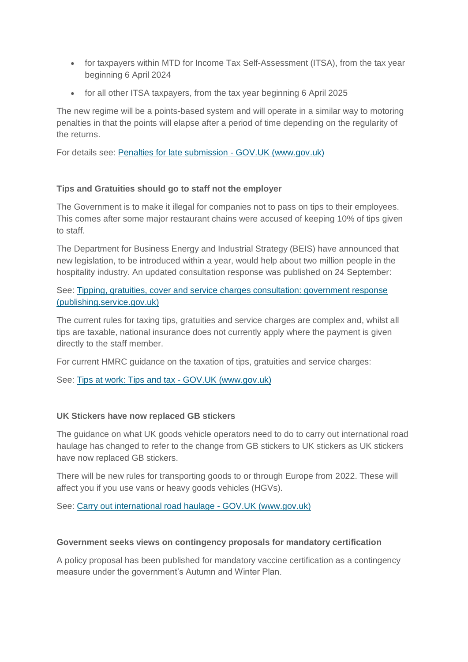- for taxpayers within MTD for Income Tax Self-Assessment (ITSA), from the tax year beginning 6 April 2024
- for all other ITSA taxpayers, from the tax year beginning 6 April 2025

The new regime will be a points-based system and will operate in a similar way to motoring penalties in that the points will elapse after a period of time depending on the regularity of the returns.

For details see: [Penalties for late submission -](https://www.gov.uk/government/publications/penalties-for-late-submission) GOV.UK (www.gov.uk)

## **Tips and Gratuities should go to staff not the employer**

The Government is to make it illegal for companies not to pass on tips to their employees. This comes after some major restaurant chains were accused of keeping 10% of tips given to staff.

The Department for Business Energy and Industrial Strategy (BEIS) have announced that new legislation, to be introduced within a year, would help about two million people in the hospitality industry. An updated consultation response was published on 24 September:

See: [Tipping, gratuities, cover and service charges consultation: government response](https://assets.publishing.service.gov.uk/government/uploads/system/uploads/attachment_data/file/1020132/tipping-consultation-government-response.pdf)  [\(publishing.service.gov.uk\)](https://assets.publishing.service.gov.uk/government/uploads/system/uploads/attachment_data/file/1020132/tipping-consultation-government-response.pdf)

The current rules for taxing tips, gratuities and service charges are complex and, whilst all tips are taxable, national insurance does not currently apply where the payment is given directly to the staff member.

For current HMRC guidance on the taxation of tips, gratuities and service charges:

See: [Tips at work: Tips and tax -](https://www.gov.uk/tips-at-work/tips-and-tax) GOV.UK (www.gov.uk)

#### **UK Stickers have now replaced GB stickers**

The guidance on what UK goods vehicle operators need to do to carry out international road haulage has changed to refer to the change from GB stickers to UK stickers as UK stickers have now replaced GB stickers.

There will be new rules for transporting goods to or through Europe from 2022. These will affect you if you use vans or heavy goods vehicles (HGVs).

See: [Carry out international road haulage -](https://www.gov.uk/guidance/carry-out-international-road-haulage?utm_medium=email&utm_campaign=govuk-notifications&utm_source=2e305290-484e-45be-a6af-8c756ef32d7e&utm_content=daily) GOV.UK (www.gov.uk)

#### **Government seeks views on contingency proposals for mandatory certification**

A policy proposal has been published for mandatory vaccine certification as a contingency measure under the government's Autumn and Winter Plan.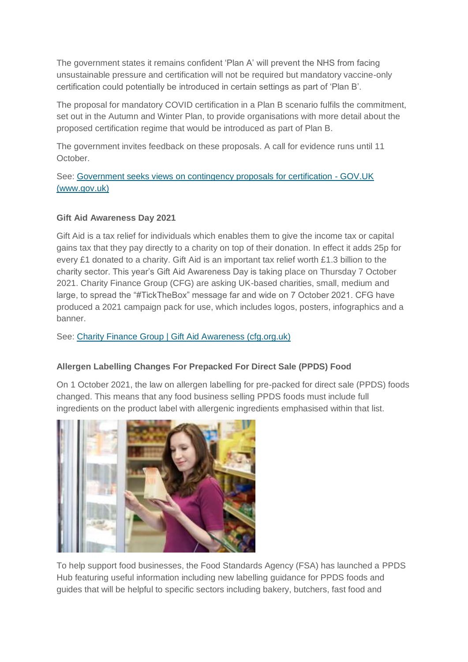The government states it remains confident 'Plan A' will prevent the NHS from facing unsustainable pressure and certification will not be required but mandatory vaccine-only certification could potentially be introduced in certain settings as part of 'Plan B'.

The proposal for mandatory COVID certification in a Plan B scenario fulfils the commitment, set out in the Autumn and Winter Plan, to provide organisations with more detail about the proposed certification regime that would be introduced as part of Plan B.

The government invites feedback on these proposals. A call for evidence runs until 11 October.

See: [Government seeks views on contingency proposals for certification -](https://www.gov.uk/government/news/government-seeks-views-on-contingency-proposals-for-certification?utm_medium=email&utm_campaign=govuk-notifications&utm_source=151df901-2113-454d-baa9-47cdf254d796&utm_content=daily) GOV.UK [\(www.gov.uk\)](https://www.gov.uk/government/news/government-seeks-views-on-contingency-proposals-for-certification?utm_medium=email&utm_campaign=govuk-notifications&utm_source=151df901-2113-454d-baa9-47cdf254d796&utm_content=daily)

## **Gift Aid Awareness Day 2021**

Gift Aid is a tax relief for individuals which enables them to give the income tax or capital gains tax that they pay directly to a charity on top of their donation. In effect it adds 25p for every £1 donated to a charity. Gift Aid is an important tax relief worth £1.3 billion to the charity sector. This year's Gift Aid Awareness Day is taking place on Thursday 7 October 2021. Charity Finance Group (CFG) are asking UK-based charities, small, medium and large, to spread the "#TickTheBox" message far and wide on 7 October 2021. CFG have produced a 2021 campaign pack for use, which includes logos, posters, infographics and a banner.

See: Charity Finance Group [| Gift Aid Awareness \(cfg.org.uk\)](https://www.cfg.org.uk/tickthebox?utm_source=CFG+Web+Subscribers&utm_campaign=eb43072c8a-Fortnightly+newsletter_COPY_01&utm_medium=email&utm_term=0_d9d5e7cf12-eb43072c8a-294795529)

## **Allergen Labelling Changes For Prepacked For Direct Sale (PPDS) Food**

On 1 October 2021, the law on allergen labelling for pre-packed for direct sale (PPDS) foods changed. This means that any food business selling PPDS foods must include full ingredients on the product label with allergenic ingredients emphasised within that list.



To help support food businesses, the Food Standards Agency (FSA) has launched a PPDS Hub featuring useful information including new labelling guidance for PPDS foods and guides that will be helpful to specific sectors including bakery, butchers, fast food and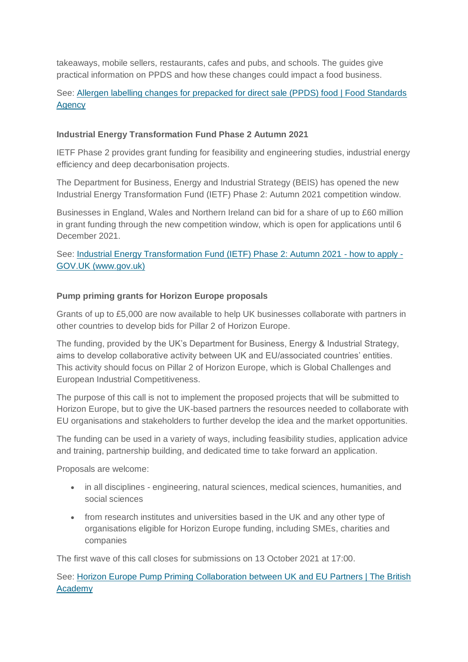takeaways, mobile sellers, restaurants, cafes and pubs, and schools. The guides give practical information on PPDS and how these changes could impact a food business.

# See: [Allergen labelling changes for prepacked for direct sale \(PPDS\) food | Food Standards](https://www.food.gov.uk/allergen-labelling-changes-for-prepacked-for-direct-sale-ppds-food)  **[Agency](https://www.food.gov.uk/allergen-labelling-changes-for-prepacked-for-direct-sale-ppds-food)**

#### **Industrial Energy Transformation Fund Phase 2 Autumn 2021**

IETF Phase 2 provides grant funding for feasibility and engineering studies, industrial energy efficiency and deep decarbonisation projects.

The Department for Business, Energy and Industrial Strategy (BEIS) has opened the new Industrial Energy Transformation Fund (IETF) Phase 2: Autumn 2021 competition window.

Businesses in England, Wales and Northern Ireland can bid for a share of up to £60 million in grant funding through the new competition window, which is open for applications until 6 December 2021.

See: [Industrial Energy Transformation Fund \(IETF\) Phase 2: Autumn 2021 -](https://www.gov.uk/government/publications/industrial-energy-transformation-fund-ietf-phase-2-autumn-2021) how to apply - [GOV.UK \(www.gov.uk\)](https://www.gov.uk/government/publications/industrial-energy-transformation-fund-ietf-phase-2-autumn-2021)

#### **Pump priming grants for Horizon Europe proposals**

Grants of up to £5,000 are now available to help UK businesses collaborate with partners in other countries to develop bids for Pillar 2 of Horizon Europe.

The funding, provided by the UK's Department for Business, Energy & Industrial Strategy, aims to develop collaborative activity between UK and EU/associated countries' entities. This activity should focus on Pillar 2 of Horizon Europe, which is Global Challenges and European Industrial Competitiveness.

The purpose of this call is not to implement the proposed projects that will be submitted to Horizon Europe, but to give the UK-based partners the resources needed to collaborate with EU organisations and stakeholders to further develop the idea and the market opportunities.

The funding can be used in a variety of ways, including feasibility studies, application advice and training, partnership building, and dedicated time to take forward an application.

Proposals are welcome:

- in all disciplines engineering, natural sciences, medical sciences, humanities, and social sciences
- from research institutes and universities based in the UK and any other type of organisations eligible for Horizon Europe funding, including SMEs, charities and companies

The first wave of this call closes for submissions on 13 October 2021 at 17:00.

See: [Horizon Europe Pump Priming Collaboration between UK and EU Partners | The British](https://www.thebritishacademy.ac.uk/funding/Horizon-Europe-Pump-Priming-Collaboration-between-UK-and-EU-Partners/)  [Academy](https://www.thebritishacademy.ac.uk/funding/Horizon-Europe-Pump-Priming-Collaboration-between-UK-and-EU-Partners/)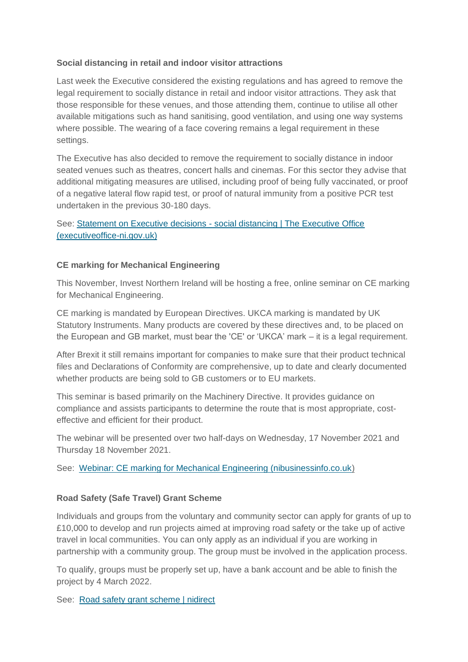## **Social distancing in retail and indoor visitor attractions**

Last week the Executive considered the existing regulations and has agreed to remove the legal requirement to socially distance in retail and indoor visitor attractions. They ask that those responsible for these venues, and those attending them, continue to utilise all other available mitigations such as hand sanitising, good ventilation, and using one way systems where possible. The wearing of a face covering remains a legal requirement in these settings.

The Executive has also decided to remove the requirement to socially distance in indoor seated venues such as theatres, concert halls and cinemas. For this sector they advise that additional mitigating measures are utilised, including proof of being fully vaccinated, or proof of a negative lateral flow rapid test, or proof of natural immunity from a positive PCR test undertaken in the previous 30-180 days.

## See: Statement on Executive decisions - [social distancing | The Executive Office](http://www.executiveoffice-ni.gov.uk/news/statement-executive-decisions-social-distancing)  [\(executiveoffice-ni.gov.uk\)](http://www.executiveoffice-ni.gov.uk/news/statement-executive-decisions-social-distancing)

## **CE marking for Mechanical Engineering**

This November, Invest Northern Ireland will be hosting a free, online seminar on CE marking for Mechanical Engineering.

CE marking is mandated by European Directives. UKCA marking is mandated by UK Statutory Instruments. Many products are covered by these directives and, to be placed on the European and GB market, must bear the 'CE' or 'UKCA' mark – it is a legal requirement.

After Brexit it still remains important for companies to make sure that their product technical files and Declarations of Conformity are comprehensive, up to date and clearly documented whether products are being sold to GB customers or to EU markets.

This seminar is based primarily on the Machinery Directive. It provides guidance on compliance and assists participants to determine the route that is most appropriate, costeffective and efficient for their product.

The webinar will be presented over two half-days on Wednesday, 17 November 2021 and Thursday 18 November 2021.

See: [Webinar: CE marking for Mechanical Engineering \(nibusinessinfo.co.uk\)](https://www.nibusinessinfo.co.uk/content/webinar-ce-marking-mechanical-engineering)

#### **Road Safety (Safe Travel) Grant Scheme**

Individuals and groups from the voluntary and community sector can apply for grants of up to £10,000 to develop and run projects aimed at improving road safety or the take up of active travel in local communities. You can only apply as an individual if you are working in partnership with a community group. The group must be involved in the application process.

To qualify, groups must be properly set up, have a bank account and be able to finish the project by 4 March 2022.

See: [Road safety grant scheme | nidirect](https://www.nidirect.gov.uk/articles/road-safety-grant-scheme)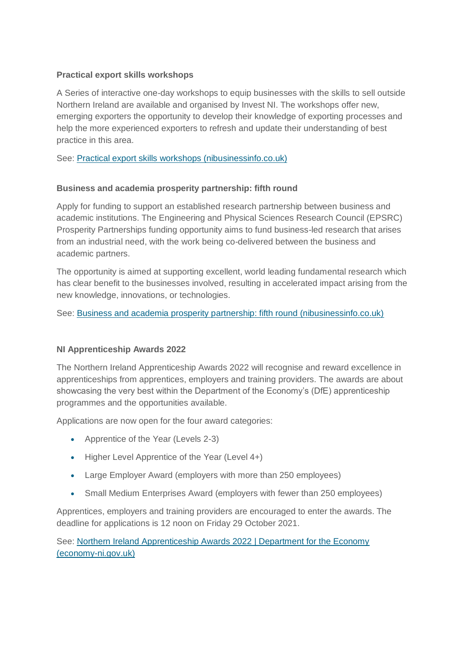## **Practical export skills workshops**

A Series of interactive one-day workshops to equip businesses with the skills to sell outside Northern Ireland are available and organised by Invest NI. The workshops offer new, emerging exporters the opportunity to develop their knowledge of exporting processes and help the more experienced exporters to refresh and update their understanding of best practice in this area.

See: [Practical export skills workshops \(nibusinessinfo.co.uk\)](https://www.nibusinessinfo.co.uk/content/practical-export-skills-workshops)

## **Business and academia prosperity partnership: fifth round**

Apply for funding to support an established research partnership between business and academic institutions. The Engineering and Physical Sciences Research Council (EPSRC) Prosperity Partnerships funding opportunity aims to fund business-led research that arises from an industrial need, with the work being co-delivered between the business and academic partners.

The opportunity is aimed at supporting excellent, world leading fundamental research which has clear benefit to the businesses involved, resulting in accelerated impact arising from the new knowledge, innovations, or technologies.

See: [Business and academia prosperity partnership: fifth round \(nibusinessinfo.co.uk\)](https://www.nibusinessinfo.co.uk/content/business-and-academia-prosperity-partnership-fifth-round)

## **NI Apprenticeship Awards 2022**

The Northern Ireland Apprenticeship Awards 2022 will recognise and reward excellence in apprenticeships from apprentices, employers and training providers. The awards are about showcasing the very best within the Department of the Economy's (DfE) apprenticeship programmes and the opportunities available.

Applications are now open for the four award categories:

- Apprentice of the Year (Levels 2-3)
- Higher Level Apprentice of the Year (Level 4+)
- Large Employer Award (employers with more than 250 employees)
- Small Medium Enterprises Award (employers with fewer than 250 employees)

Apprentices, employers and training providers are encouraged to enter the awards. The deadline for applications is 12 noon on Friday 29 October 2021.

See: [Northern Ireland Apprenticeship Awards 2022 | Department for the Economy](https://www.economy-ni.gov.uk/apprenticeawards2022)  [\(economy-ni.gov.uk\)](https://www.economy-ni.gov.uk/apprenticeawards2022)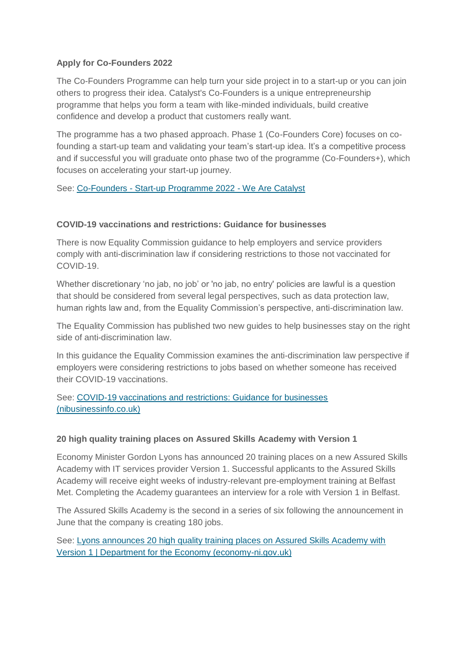## **Apply for Co-Founders 2022**

The Co-Founders Programme can help turn your side project in to a start-up or you can join others to progress their idea. Catalyst's Co-Founders is a unique entrepreneurship programme that helps you form a team with like-minded individuals, build creative confidence and develop a product that customers really want.

The programme has a two phased approach. Phase 1 (Co-Founders Core) focuses on cofounding a start-up team and validating your team's start-up idea. It's a competitive process and if successful you will graduate onto phase two of the programme (Co-Founders+), which focuses on accelerating your start-up journey.

#### See: Co-Founders - [Start-up Programme 2022 -](https://wearecatalyst.org/events/co-founders/) We Are Catalyst

#### **COVID-19 vaccinations and restrictions: Guidance for businesses**

There is now Equality Commission guidance to help employers and service providers comply with anti-discrimination law if considering restrictions to those not vaccinated for COVID-19.

Whether discretionary 'no jab, no job' or 'no jab, no entry' policies are lawful is a question that should be considered from several legal perspectives, such as data protection law, human rights law and, from the Equality Commission's perspective, anti-discrimination law.

The Equality Commission has published two new guides to help businesses stay on the right side of anti-discrimination law.

In this guidance the Equality Commission examines the anti-discrimination law perspective if employers were considering restrictions to jobs based on whether someone has received their COVID-19 vaccinations.

See: [COVID-19 vaccinations and restrictions: Guidance for businesses](https://www.nibusinessinfo.co.uk/content/covid-19-vaccinations-and-restrictions-guidance-businesses)  [\(nibusinessinfo.co.uk\)](https://www.nibusinessinfo.co.uk/content/covid-19-vaccinations-and-restrictions-guidance-businesses)

#### **20 high quality training places on Assured Skills Academy with Version 1**

Economy Minister Gordon Lyons has announced 20 training places on a new Assured Skills Academy with IT services provider Version 1. Successful applicants to the Assured Skills Academy will receive eight weeks of industry-relevant pre-employment training at Belfast Met. Completing the Academy guarantees an interview for a role with Version 1 in Belfast.

The Assured Skills Academy is the second in a series of six following the announcement in June that the company is creating 180 jobs.

See: [Lyons announces 20 high quality training places on Assured Skills Academy with](http://www.economy-ni.gov.uk/news/lyons-announces-20-high-quality-training-places-assured-skills-academy-version-1)  [Version 1 | Department for the Economy \(economy-ni.gov.uk\)](http://www.economy-ni.gov.uk/news/lyons-announces-20-high-quality-training-places-assured-skills-academy-version-1)